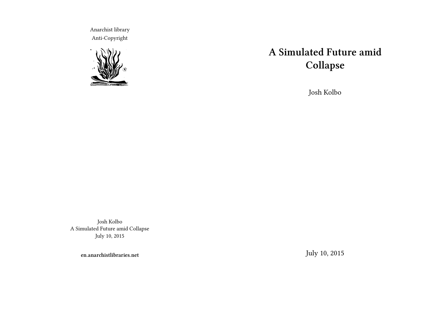Anarchist library Anti-Copyright



# **A Simulated Future amid Collapse**

Josh Kolbo

Josh Kolbo A Simulated Future amid Collapse July 10, 2015

**en.anarchistlibraries.net**

July 10, 2015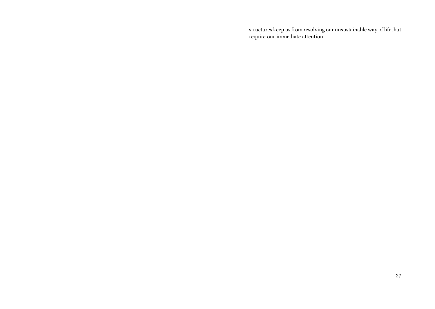structures keep us from resolving our unsustainable way of life, but require our immediate attention.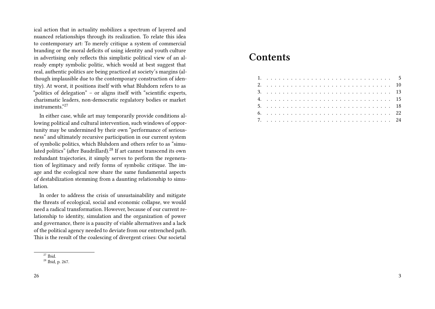ical action that in actuality mobilizes a spectrum of layered and nuanced relationships through its realization. To relate this idea to contemporary art: To merely critique a system of commercial branding or the moral deficits of using identity and youth culture in advertising only reflects this simplistic political view of an already empty symbolic politic, which would at best suggest that real, authentic politics are being practiced at society's margins (although implausible due to the contemporary construction of identity). At worst, it positions itself with what Bluhdorn refers to as "politics of delegation" – or aligns itself with "scientific experts, charismatic leaders, non-democratic regulatory bodies or market instruments."<sup>27</sup>

In either case, while art may temporarily provide conditions allowing political and cultural intervention, such windows of opportunity may be undermined by their own "performance of seriousness" and ultimately recursive participation in our current system of symbolic politics, which Bluhdorn and others refer to as "simulated politics" (after Baudrillard).<sup>28</sup> If art cannot transcend its own redundant trajectories, it simply serves to perform the regeneration of legitimacy and reify forms of symbolic critique. The image and the ecological now share the same fundamental aspects of destabilization stemming from a daunting relationship to simulation.

In order to address the crisis of unsustainability and mitigate the threats of ecological, social and economic collapse, we would need a radical transformation. However, because of our current relationship to identity, simulation and the organization of power and governance, there is a paucity of viable alternatives and a lack of the political agency needed to deviate from our entrenched path. This is the result of the coalescing of divergent crises: Our societal

# **Contents**

 $\overline{\frac{27}{}}$  Ibid.

<sup>28</sup> Ibid, p. 267.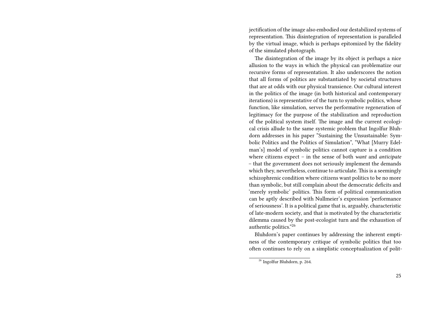jectification of the image also embodied our destabilized systems of representation. This disintegration of representation is paralleled by the virtual image, which is perhaps epitomized by the fidelity of the simulated photograph.

The disintegration of the image by its object is perhaps a nice allusion to the ways in which the physical can problematize our recursive forms of representation. It also underscores the notion that all forms of politics are substantiated by societal structures that are at odds with our physical transience. Our cultural interest in the politics of the image (in both historical and contemporary iterations) is representative of the turn to symbolic politics, whose function, like simulation, serves the performative regeneration of legitimacy for the purpose of the stabilization and reproduction of the political system itself. The image and the current ecological crisis allude to the same systemic problem that Ingolfur Bluhdorn addresses in his paper "Sustaining the Unsustainable: Symbolic Politics and the Politics of Simulation", "What [Murry Edelman's] model of symbolic politics cannot capture is a condition where citizens expect – in the sense of both *want* and *anticipate* – that the government does not seriously implement the demands which they, nevertheless, continue to articulate. This is a seemingly schizophrenic condition where citizens want politics to be no more than symbolic, but still complain about the democratic deficits and 'merely symbolic' politics. This form of political communication can be aptly described with Nullmeier's expression 'performance of seriousness'. It is a political game that is, arguably, characteristic of late-modern society, and that is motivated by the characteristic dilemma caused by the post-ecologist turn and the exhaustion of authentic politics."<sup>26</sup>

Bluhdorn's paper continues by addressing the inherent emptiness of the contemporary critique of symbolic politics that too often continues to rely on a simplistic conceptualization of polit-

 $\frac{26}{26}$  Ingolfur Bluhdorn, p. 264.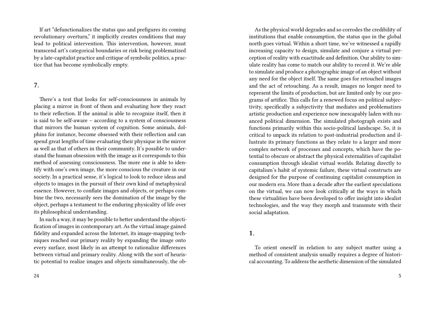If art "defunctionalizes the status quo and prefigures its coming revolutionary overturn," it implicitly creates conditions that may lead to political intervention. This intervention, however, must transcend art's categorical boundaries or risk being problematized by a late-capitalist practice and critique of symbolic politics, a practice that has become symbolically empty.

### **7.**

There's a test that looks for self-consciousness in animals by placing a mirror in front of them and evaluating how they react to their reflection. If the animal is able to recognize itself, then it is said to be self-aware – according to a system of consciousness that mirrors the human system of cognition. Some animals, dolphins for instance, become obsessed with their reflection and can spend great lengths of time evaluating their physique in the mirror as well as that of others in their community. It's possible to understand the human obsession with the image as it corresponds to this method of assessing consciousness. The more one is able to identify with one's own image, the more conscious the creature in our society. In a practical sense, it's logical to look to reduce ideas and objects to images in the pursuit of their own kind of metaphysical essence. However, to conflate images and objects, or perhaps combine the two, necessarily sees the domination of the image by the object, perhaps a testament to the enduring physicality of life over its philosophical understanding.

In such a way, it may be possible to better understand the objectification of images in contemporary art. As the virtual image gained fidelity and expanded across the Internet, its image-mapping techniques reached our primary reality by expanding the image onto every surface, most likely in an attempt to rationalize differences between virtual and primary reality. Along with the sort of heuristic potential to realize images and objects simultaneously, the ob-

As the physical world degrades and so corrodes the credibility of institutions that enable consumption, the status quo in the global north goes virtual. Within a short time, we've witnessed a rapidly increasing capacity to design, simulate and conjure a virtual perception of reality with exactitude and definition. Our ability to simulate reality has come to match our ability to record it. We're able to simulate and produce a photographic image of an object without any need for the object itself. The same goes for retouched images and the act of retouching. As a result, images no longer need to represent the limits of production, but are limited only by our programs of artifice. This calls for a renewed focus on political subjectivity, specifically a subjectivity that mediates and problematizes artistic production and experience now inescapably laden with nuanced political dimension. The simulated photograph exists and functions primarily within this socio-political landscape. So, it is critical to unpack its relation to post-industrial production and illustrate its primary functions as they relate to a larger and more complex network of processes and concepts, which have the potential to obscure or abstract the physical externalities of capitalist consumption through idealist virtual worlds. Relating directly to capitalism's habit of systemic failure, these virtual constructs are designed for the purpose of continuing capitalist consumption in our modern era. More than a decade after the earliest speculations on the virtual, we can now look critically at the ways in which these virtualities have been developed to offer insight into idealist technologies, and the way they morph and transmute with their social adaptation.

#### **1.**

To orient oneself in relation to any subject matter using a method of consistent analysis usually requires a degree of historical accounting. To address the aesthetic dimension of the simulated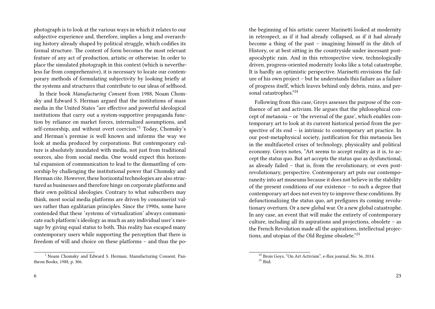photograph is to look at the various ways in which it relates to our subjective experience and, therefore, implies a long and overarching history already shaped by political struggle, which codifies its formal structure. The content of form becomes the most relevant feature of any act of production, artistic or otherwise. In order to place the simulated photograph in this context (which is nevertheless far from comprehensive), it is necessary to locate our contemporary methods of formulating subjectivity by looking briefly at the systems and structures that contribute to our ideas of selfhood.

In their book *Manufacturing Consent* from 1988, Noam Chomsky and Edward S. Herman argued that the institutions of mass media in the United States "are effective and powerful ideological institutions that carry out a system-supportive propaganda function by reliance on market forces, internalized assumptions, and self-censorship, and without overt coercion."<sup>1</sup> Today, Chomsky's and Herman's premise is well known and informs the way we look at media produced by corporations. But contemporary culture is absolutely inundated with media, not just from traditional sources, also from social media. One would expect this horizontal expansion of communication to lead to the dismantling of censorship by challenging the institutional power that Chomsky and Herman cite. However, these horizontal technologies are also structured as businesses and therefore hinge on corporate platforms and their own political ideologies. Contrary to what subscribers may think, most social media platforms are driven by consumerist values rather than egalitarian principles. Since the 1990s, some have contended that these 'systems of virtualization' always communicate each platform's ideology as much as any individual user's message by giving equal status to both. This reality has escaped many contemporary users while supporting the perception that there is freedom of will and choice on these platforms – and thus the po-

<sup>1</sup> Noam Chomsky and Edward S. Herman, Manufacturing Consent, Pantheon Books, 1988, p. 306.

the beginning of his artistic career Marinetti looked at modernity in retrospect, as if it had already collapsed, as if it had already become a thing of the past – imagining himself in the ditch of History, or at best sitting in the countryside under incessant postapocalyptic rain. And in this retrospective view, technologically driven, progress-oriented modernity looks like a total catastrophe. It is hardly an optimistic perspective. Marinetti envisions the failure of his own project – but he understands this failure as a failure of progress itself, which leaves behind only debris, ruins, and personal catastrophes."<sup>24</sup>

Following from this case, Groys assesses the purpose of the confluence of art and activism. He argues that the philosophical concept of metanoia – or 'the reversal of the gaze', which enables contemporary art to look at its current historical period from the perspective of its end – is intrinsic to contemporary art practice. In our post-metaphysical society, justification for this metanoia lies in the multifaceted crises of technology, physicality and political economy. Groys notes, "Art seems to accept reality as it is, to accept the status quo. But art accepts the status quo as dysfunctional, as already failed – that is, from the revolutionary, or even postrevolutionary, perspective. Contemporary art puts our contemporaneity into art museums because it does not believe in the stability of the present conditions of our existence – to such a degree that contemporary art does not even try to improve these conditions. By defunctionalizing the status quo, art prefigures its coming revolutionary overturn. Or a new global war. Or a new global catastrophe. In any case, an event that will make the entirety of contemporary culture, including all its aspirations and projections, obsolete – as the French Revolution made all the aspirations, intellectual projections, and utopias of the Old Regime obsolete."<sup>25</sup>

<sup>24</sup> Brois Goys, "On Art Activism", e-flux journal, No. 56, 2014.  $25$  Ibid.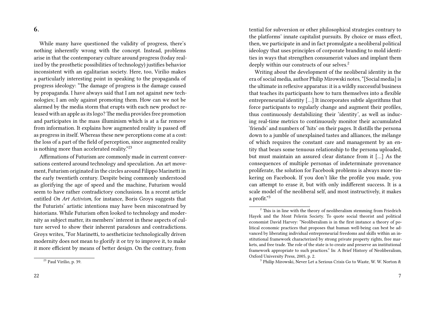**6.**

While many have questioned the validity of progress, there's nothing inherently wrong with the concept. Instead, problems arise in that the contemporary culture around progress (today realized by the prosthetic possibilities of technology) justifies behavior inconsistent with an egalitarian society. Here, too, Virilio makes a particularly interesting point in speaking to the propaganda of progress ideology: "The damage of progress is the damage caused by propaganda. I have always said that I am not against new technologies; I am only against promoting them. How can we not be alarmed by the media storm that erupts with each new product released with an apple as its logo?The media provides free promotion and participates in the mass illuminism which is at a far remove from information. It explains how augmented reality is passed off as progress in itself. Whereas these new perceptions come at a cost: the loss of a part of the field of perception, since augmented reality is nothing more than accelerated reality."<sup>23</sup>

Affirmations of Futurism are commonly made in current conversations centered around technology and speculation. An art movement, Futurism originated in the circles around Filippo Marinetti in the early twentieth century. Despite being commonly understood as glorifying the age of speed and the machine, Futurism would seem to have rather contradictory conclusions. In a recent article entitled *On Art Activism*, for instance, Boris Groys suggests that the Futurists' artistic intentions may have been misconstrued by historians. While Futurism often looked to technology and modernity as subject matter, its members' interest in these aspects of culture served to show their inherent paradoxes and contradictions. Groys writes, "For Marinetti, to aestheticize technologically driven modernity does not mean to glorify it or try to improve it, to make it more efficient by means of better design. On the contrary, from

tential for subversion or other philosophical strategies contrary to the platforms' innate capitalist pursuits. By choice or mass effect, then, we participate in and in fact promulgate a neoliberal political ideology that uses principles of corporate branding to mold identities in ways that strengthen consumerist values and implant them deeply within our constructs of our selves.<sup>2</sup>

Writing about the development of the neoliberal identity in the era of social media, author Philip Mirowski notes, "[Social media] is the ultimate in reflexive apparatus: it is a wildly successful business that teaches its participants how to turn themselves into a flexible entrepreneurial identity […] It incorporates subtle algorithms that force participants to regularly change and augment their profiles, thus continuously destabilizing their 'identity', as well as inducing real-time metrics to continuously monitor their accumulated 'friends' and numbers of 'hits' on their pages. It distills the persona down to a jumble of unexplained tastes and alliances, the mélange of which requires the constant care and management by an entity that bears some tenuous relationship to the persona uploaded, but must maintain an assured clear distance from it […] As the consequences of multiple personas of indeterminate provenance proliferate, the solution for Facebook problems is always more tinkering on Facebook. If you don't like the profile you made, you can attempt to erase it, but with only indifferent success. It is a scale model of the neoliberal self, and most instructively, it makes a profit."<sup>3</sup>

<sup>23</sup> Paul Virilio, p. 39.

 $2$ <sup>2</sup> This is in line with the theory of neoliberalism stemming from Friedrich Hayek and the Mont Pelerin Society. To quote social theorist and political economist David Harvey: "Neoliberalism is in the first instance a theory of political economic practices that proposes that human well-being can best be advanced by liberating individual entrepreneurial freedoms and skills within an institutional framework characterized by strong private property rights, free markets, and free trade. The role of the state is to create and preserve an institutional framework appropriate to such practices." In: A Brief History of Neoliberalism, Oxford University Press, 2005, p. 2.

<sup>&</sup>lt;sup>3</sup> Philip Mirowski, Never Let a Serious Crisis Go to Waste, W. W. Norton &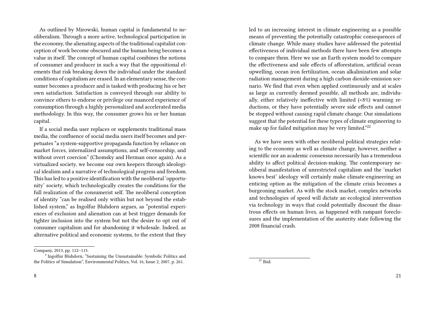As outlined by Mirowski, human capital is fundamental to neoliberalism. Through a more active, technological participation in the economy, the alienating aspects of the traditional capitalist conception of work become obscured and the human being becomes a value in itself. The concept of human capital combines the notions of consumer and producer in such a way that the oppositional elements that risk breaking down the individual under the standard conditions of capitalism are erased. In an elementary sense, the consumer becomes a producer and is tasked with producing his or her own satisfaction. Satisfaction is conveyed through our ability to convince others to endorse or privilege our nuanced experience of consumption through a highly personalized and accelerated media methodology. In this way, the consumer grows his or her human capital.

If a social media user replaces or supplements traditional mass media, the confluence of social media users itself becomes and perpetuates "a system-supportive propaganda function by reliance on market forces, internalized assumptions, and self-censorship, and without overt coercion" (Chomsky and Herman once again). As a virtualized society, we become our own keepers through ideological idealism and a narrative of technological progress and freedom. This has led to a positive identification with the neoliberal 'opportunity' society, which technologically creates the conditions for the full realization of the consumerist self. The neoliberal conception of identity "can be realised only within but not beyond the established system," as Ingolfur Bluhdorn argues, as "potential experiences of exclusion and alienation can at best trigger demands for tighter inclusion into the system but not the desire to opt out of consumer capitalism and for abandoning it wholesale. Indeed, as alternative political and economic systems, to the extent that they led to an increasing interest in climate engineering as a possible means of preventing the potentially catastrophic consequences of climate change. While many studies have addressed the potential effectiveness of individual methods there have been few attempts to compare them. Here we use an Earth system model to compare the effectiveness and side effects of afforestation, artificial ocean upwelling, ocean iron fertilization, ocean alkalinization and solar radiation management during a high carbon dioxide-emission scenario. We find that even when applied continuously and at scales as large as currently deemed possible, all methods are, individually, either relatively ineffective with limited (<8%) warming reductions, or they have potentially severe side effects and cannot be stopped without causing rapid climate change. Our simulations suggest that the potential for these types of climate engineering to make up for failed mitigation may be very limited."<sup>22</sup>

As we have seen with other neoliberal political strategies relating to the economy as well as climate change, however, neither a scientific nor an academic consensus necessarily has a tremendous ability to affect political decision-making. The contemporary neoliberal manifestation of unrestricted capitalism and the 'market knows best' ideology will certainly make climate-engineering an enticing option as the mitigation of the climate crisis becomes a burgeoning market. As with the stock market, complex networks and technologies of speed will dictate an ecological intervention via technology in ways that could potentially discount the disastrous effects on human lives, as happened with rampant foreclosures and the implementation of the austerity state following the 2008 financial crash.

Company, 2013, pp. 112–113.

<sup>&</sup>lt;sup>4</sup> Ingolfur Bluhdorn, "Sustaining the Unsustainable: Symbolic Politics and the Politics of Simulation", Environmental Politics, Vol. 16, Issue 2, 2007, p. 261.

 $22$  Ibid.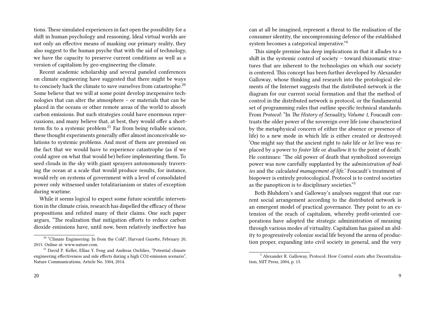tions. These simulated experiences in fact open the possibility for a shift in human psychology and reasoning. Ideal virtual worlds are not only an effective means of masking our primary reality, they also suggest to the human psyche that with the aid of technology, we have the capacity to preserve current conditions as well as a version of capitalism by geo-engineering the climate.

Recent academic scholarship and several paneled conferences on climate engineering have suggested that there might be ways to concisely hack the climate to save ourselves from catastrophe.<sup>20</sup> Some believe that we will at some point develop inexpensive technologies that can alter the atmosphere – or materials that can be placed in the oceans or other remote areas of the world to absorb carbon emissions. But such strategies could have enormous repercussions, and many believe that, at best, they would offer a shortterm fix to a systemic problem.<sup>21</sup> Far from being reliable science, these thought experiments generally offer almost inconceivable solutions to systemic problems. And most of them are premised on the fact that we would have to experience catastrophe (as if we could agree on what that would be) before implementing them. To seed clouds in the sky with giant sprayers autonomously traversing the ocean at a scale that would produce results, for instance, would rely on systems of government with a level of consolidated power only witnessed under totalitarianism or states of exception during wartime.

While it seems logical to expect some future scientific intervention in the climate crisis, research has dispelled the efficacy of these propositions and refuted many of their claims. One such paper argues, "The realization that mitigation efforts to reduce carbon dioxide emissions have, until now, been relatively ineffective has can at all be imagined, represent a threat to the realisation of the consumer identity, the uncompromising defence of the established system becomes a categorical imperative."<sup>4</sup>

This simple premise has deep implications in that it alludes to a shift in the systemic control of society – toward rhizomatic structures that are inherent to the technologies on which our society is centered. This concept has been further developed by Alexander Galloway, whose thinking and research into the protological elements of the Internet suggests that the distributed network is the diagram for our current social formation and that the method of control in the distributed network is protocol, or the fundamental set of programming rules that outline specific technical standards. From *Protocol*: "In *The History of Sexuality, Volume 1*, Foucault contrasts the older power of the sovereign over life (one characterized by the metaphysical concern of either the absence or presence of life) to a new mode in which life is either created or destroyed: 'One might say that the ancient right to *take* life or *let* live was replaced by a power to *foster* life or *disallow* it to the point of death.' He continues: 'The old power of death that symbolized sovereign power was now carefully supplanted by the *administration of bodies* and the *calculated management of life.*' Foucault's treatment of biopower is entirely protocological. Protocol is to control societies as the panopticon is to disciplinary societies."<sup>5</sup>

Both Bluhdorn's and Galloway's analyses suggest that our current social arrangement according to the distributed network is an emergent model of practical governance. They point to an extension of the reach of capitalism, whereby profit-oriented corporations have adopted the strategic administration of meaning through various modes of virtuality. Capitalism has gained an ability to progressively colonize social life beyond the arena of production proper, expanding into civil society in general, and the very

<sup>&</sup>lt;sup>20</sup> "Climate Engineering: In from the Cold", Harvard Gazette, February 20, 2015. Online at: www.nature.com.

<sup>&</sup>lt;sup>21</sup> David P. Keller, Ellias Y. Feng and Andreas Oschlies, "Potential climate engineering effectiveness and side effects during a high CO2-emission scenario", Nature Communications, Article No. 3304, 2014.

<sup>5</sup> Alexander R. Galloway, Protocol: How Control exists after Decentralization, MIT Press, 2004, p. 13.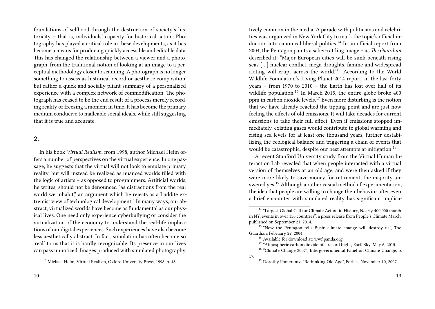foundations of selfhood through the destruction of society's historicity – that is, individuals' capacity for historical action. Photography has played a critical role in these developments, as it has become a means for producing quickly accessible and editable data. This has changed the relationship between a viewer and a photograph, from the traditional notion of looking at an image to a perceptual methodology closer to scanning. A photograph is no longer something to assess as historical record or aesthetic composition, but rather a quick and socially pliant summary of a personalized experience with a complex network of commodification. The photograph has ceased to be the end result of a process merely recording reality or freezing a moment in time. It has become the primary medium conducive to malleable social ideals, while still suggesting that it is true and accurate.

#### **2.**

In his book *Virtual Realism*, from 1998, author Michael Heim offers a number of perspectives on the virtual experience. In one passage, he suggests that the virtual will not look to emulate primary reality, but will instead be realized as nuanced worlds filled with the logic of artists – as opposed to programmers. Artificial worlds, he writes, should not be denounced "as distractions from the real world we inhabit," an argument which he rejects as a Luddite extremist view of technological development.<sup>6</sup> In many ways, our abstract, virtualized worlds have become as fundamental as our physical lives. One need only experience cyberbullying or consider the virtualization of the economy to understand the real-life implications of our digital experiences. Such experiences have also become less aesthetically abstract. In fact, simulation has often become so 'real' to us that it is hardly recognizable. Its presence in our lives can pass unnoticed. Images produced with simulated photography,

tively common in the media. A parade with politicians and celebrities was organized in New York City to mark the topic's official induction into canonical liberal politics.<sup>14</sup> In an official report from 2004, the Pentagon paints a saber-rattling image – as *The Guardian* described it: "Major European cities will be sunk beneath rising seas […] nuclear conflict, mega-droughts, famine and widespread rioting will erupt across the world."<sup>15</sup> According to the World Wildlife Foundation's Living Planet 2014 report, in the last forty years – from 1970 to 2010 – the Earth has lost over half of its wildlife population.<sup>16</sup> In March 2015, the entire globe broke 400 ppm in carbon dioxide levels.<sup>17</sup> Even more disturbing is the notion that we have already reached the tipping point and are just now feeling the effects of old emissions. It will take decades for current emissions to take their full effect. Even if emissions stopped immediately, existing gases would contribute to global warming and rising sea levels for at least one thousand years, further destabilizing the ecological balance and triggering a chain of events that would be catastrophic, despite our best attempts at mitigation.<sup>18</sup>

A recent Stanford University study from the Virtual Human Interaction Lab revealed that when people interacted with a virtual version of themselves at an old age, and were then asked if they were more likely to save money for retirement, the majority answered yes.<sup>19</sup> Although a rather casual method of experimentation, the idea that people are willing to change their behavior after even a brief encounter with simulated reality has significant implica-

<sup>6</sup> Michael Heim, Virtual Realism, Oxford University Press, 1998, p. 48.

<sup>&</sup>lt;sup>14</sup> "Largest Global Call for Climate Action in History, Nearly 400,000 march in NY, events in over 150 countries", a press release from People's Climate March, published on September 21, 2014.

<sup>&</sup>lt;sup>15</sup> "Now the Pentagon tells Bush: climate change will destroy us". The Guardian, February 22, 2004.

<sup>&</sup>lt;sup>16</sup> Available for download at: wwf.panda.org.

<sup>&</sup>lt;sup>17</sup> "Atmospheric carbon dioxide hits record high", EarthSky, May 6, 2015.

<sup>&</sup>lt;sup>18</sup> "Climate Change 2007", Intergovernmental Panel on Climate Change, p. 17.

<sup>&</sup>lt;sup>19</sup> Dorothy Pomerantz, "Rethinking Old Age", Forbes, November 10, 2007.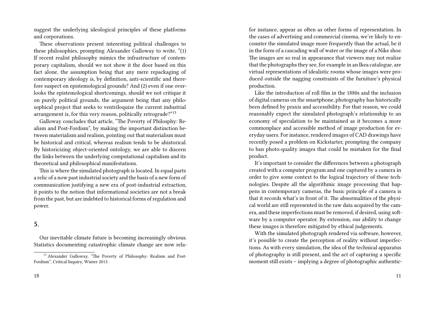suggest the underlying ideological principles of these platforms and corporations.

These observations present interesting political challenges to these philosophies, prompting Alexander Galloway to write, "(1) If recent realist philosophy mimics the infrastructure of contemporary capitalism, should we not show it the door based on this fact alone, the assumption being that any mere repackaging of contemporary ideology is, by definition, anti-scientific and therefore suspect on epistemological grounds? And (2) even if one overlooks the epistemological shortcomings, should we not critique it on purely political grounds, the argument being that any philosophical project that seeks to ventriloquize the current industrial arrangement is, for this very reason, politically retrograde?"<sup>13</sup>

Galloway concludes that article, "The Poverty of Philosphy: Realism and Post-Fordism", by making the important distinction between materialism and realism, pointing out that materialism must be historical and critical, whereas realism tends to be ahistorical. By historicizing object-oriented ontology, we are able to discern the links between the underlying computational capitalism and its theoretical and philosophical manifestations.

This is where the simulated photograph is located. In equal parts a relic of a now past industrial society and the basis of a new form of communication justifying a new era of post-industrial extraction, it points to the notion that informational societies are not a break from the past, but are indebted to historical forms of regulation and power.

## **5.**

Our inevitable climate future is becoming increasingly obvious. Statistics documenting catastrophic climate change are now relafor instance, appear as often as other forms of representation. In the cases of advertising and commercial cinema, we're likely to encounter the simulated image more frequently than the actual, be it in the form of a cascading wall of water or the image of a Nike shoe. The images are so real in appearance that viewers may not realize that the photographs they see, for example in an Ikea catalogue, are virtual representations of idealistic rooms whose images were produced outside the nagging constraints of the furniture's physical production.

Like the introduction of roll film in the 1880s and the inclusion of digital cameras on the smartphone, photography has historically been defined by praxis and accessibility. For that reason, we could reasonably expect the simulated photograph's relationship to an economy of speculation to be maintained as it becomes a more commonplace and accessible method of image production for everyday users. For instance, rendered images of CAD drawings have recently posed a problem on Kickstarter, prompting the company to ban photo-quality images that could be mistaken for the final product.

It's important to consider the differences between a photograph created with a computer program and one captured by a camera in order to give some context to the logical trajectory of these technologies. Despite all the algorithmic image processing that happens in contemporary cameras, the basic principle of a camera is that it records what's in front of it. The abnormalities of the physical world are still represented in the raw data acquired by the camera, and these imperfections must be removed, if desired, using software by a computer operator. By extension, our ability to change these images is therefore mitigated by ethical judgements.

With the simulated photograph rendered via software, however, it's possible to create the perception of reality without imperfections. As with every simulation, the idea of the technical apparatus of photography is still present, and the act of capturing a specific moment still exists – implying a degree of photographic authentic-

<sup>&</sup>lt;sup>13</sup> Alexander Galloway, "The Poverty of Philosophy: Realism and Post-Fordism", Critical Inquiry, Winter 2013.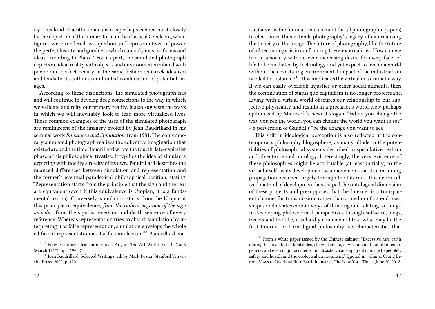ity. This kind of aesthetic idealism is perhaps echoed most closely by the depiction of the human form in the classical Greek era, when figures were rendered as superhuman "representatives of power, the perfect beauty and goodness which can only exist in forms and ideas according to Plato."<sup>7</sup> For its part, the simulated photograph depicts an ideal reality with objects and environments imbued with power and perfect beauty in the same fashion as Greek idealism and lends to its author an unlimited combination of potential images.

According to these distinctions, the simulated photograph has and will continue to develop deep connections to the way in which we validate and reify our primary reality. It also suggests the ways in which we will inevitably look to lead more virtualized lives. These common examples of the uses of the simulated photograph are reminiscent of the imagery evoked by Jean Baudrillard in his seminal work *Simulacra and Simulation*, from 1981. The contemporary simulated photograph realizes the collective imagination that existed around the time Baudrillard wrote the fourth, late-capitalist phase of his philosophical treatise. It typifies the idea of simulacra depicting with fidelity a reality of its own. Baudrillard describes the nuanced differences between simulation and representation and the former's eventual paradoxical philosophical position, stating: "Representation starts from the principle that the sign and the real are equivalent (even if this equivalence is Utopian, it is a fundamental axiom). Conversely, simulation starts from the Utopia of this principle of equivalence, *from the radical negation of the sign as value*, from the sign as reversion and death sentence of every reference. Whereas representation tries to absorb simulation by interpreting it as false representation, simulation envelops the whole edifice of representation as itself a simulacrum."<sup>8</sup> Baudrillard con-

rial (silver is the foundational element for all photographic papers) to electronics thus extends photography's legacy of externalizing the toxicity of the image. The future of photography, like the future of all technology, is in confronting these externalities. How can we live in a society with an ever-increasing desire for every facet of life to be mediated by technology and yet expect to live in a world without the devastating environmental impact of the industrialism needed to sustain it?<sup>12</sup> This implicates the virtual in a dramatic way. If we can easily overlook injustice or other social ailments, then the continuation of status quo capitalism is no longer problematic. Living with a virtual world obscures our relationship to our subjective physicality and results in a precarious world view perhaps epitomized by Microsoft's newest slogan, "When you change the way you see the world, you can change the world you want to see" – a perversion of Gandhi's "be the change you want to see.

This shift in ideological perception is also reflected in the contemporary philosophy blogosphere, as many allude to the potentialities of philosophical systems described in speculative realism and object-oriented ontology. Interestingly, the very existence of these philosophies might be attributable (at least initially) to the virtual itself, as its development as a movement and its continuing propagation occurred largely through the Internet. This decentralized method of development has shaped the ontological dimension of these projects and presupposes that the Internet is a transparent channel for transmission, rather than a medium that endorses, shapes and creates certain ways of thinking and relating to things. In developing philosophical perspectives through software, blogs, tweets and the like, it is hardly coincidental that what may be the first Internet or born-digital philosophy has characteristics that

<sup>&</sup>lt;sup>7</sup> Percy Gardner, Idealism in Greek Art, in: The Art World, Vol. 1, No. 6 (March 1917), pp. 419–421.

<sup>&</sup>lt;sup>8</sup> Jean Baudrillard, Selected Writings, ed. by Mark Poster, Stanford University Press, 2002, p. 170.

 $12$  From a white paper issued by the Chinese cabinet: "Excessive rare earth mining has resulted in landslides, clogged rivers, environmental pollution emergencies and even major accidents and disasters, causing great damage to people's safety and health and the ecological environment." Quoted in: "China, Citing Errors, Vows to Overhaul Rare Earth Industry", The New York Times, June 20, 2012.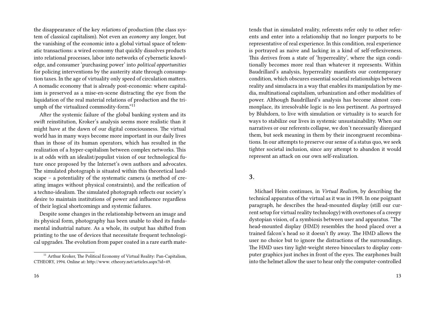the disappearance of the key *relations* of production (the class system of classical capitalism). Not even an *economy* any longer, but the vanishing of the economic into a global virtual space of telematic transactions: a wired economy that quickly dissolves products into relational processes, labor into networks of cybernetic knowledge, and consumer 'purchasing power' into *political opportunities* for policing interventions by the austerity state through consumption taxes. In the age of virtuality only speed of circulation matters. A nomadic economy that is already post-economic: where capitalism is preserved as a mise-en-scene distracting the eye from the liquidation of the real material relations of production and the triumph of the virtualized commodity-form."<sup>11</sup>

After the systemic failure of the global banking system and its swift reinstitution, Kroker's analysis seems more realistic than it might have at the dawn of our digital consciousness. The virtual world has in many ways become more important in our daily lives than in those of its human operators, which has resulted in the realization of a hyper-capitalism between complex networks. This is at odds with an idealist/populist vision of our technological future once proposed by the Internet's own authors and advocates. The simulated photograph is situated within this theoretical landscape – a potentiality of the systematic camera (a method of creating images without physical constraints), and the reification of a techno-idealism. The simulated photograph reflects our society's desire to maintain institutions of power and influence regardless of their logical shortcomings and systemic failures.

Despite some changes in the relationship between an image and its physical form, photography has been unable to shed its fundamental industrial nature. As a whole, its output has shifted from printing to the use of devices that necessitate frequent technological upgrades. The evolution from paper coated in a rare earth mate-

tends that in simulated reality, referents refer only to other referents and enter into a relationship that no longer purports to be representative of real experience. In this condition, real experience is portrayed as naive and lacking in a kind of self-reflexiveness. This derives from a state of 'hyperreality', where the sign conditionally becomes more real than whatever it represents. Within Baudrillard's analysis, hyperreality manifests our contemporary condition, which obscures essential societal relationships between reality and simulacra in a way that enables its manipulation by media, multinational capitalism, urbanization and other modalities of power. Although Baudrillard's analysis has become almost commonplace, its irresolvable logic is no less pertinent. As portrayed by Bluhdorn, to live with simulation or virtuality is to search for ways to stabilize our lives in systemic unsustainability. When our narratives or our referents collapse, we don't necessarily disregard them, but seek meaning in them by their incongruent recombinations. In our attempts to preserve our sense of a status quo, we seek tighter societal inclusion, since any attempt to abandon it would represent an attack on our own self-realization.

# **3.**

Michael Heim continues, in *Virtual Realism*, by describing the technical apparatus of the virtual as it was in 1998. In one poignant paragraph, he describes the head-mounted display (still our current setup for virtual reality technology) with overtones of a creepy dystopian vision, of a symbiosis between user and apparatus. "The head-mounted display (HMD) resembles the hood placed over a trained falcon's head so it doesn't fly away. The HMD allows the user no choice but to ignore the distractions of the surroundings. The HMD uses tiny light-weight stereo binoculars to display computer graphics just inches in front of the eyes. The earphones built into the helmet allow the user to hear only the computer-controlled

<sup>&</sup>lt;sup>11</sup> Arthur Kroker, The Political Economy of Virtual Reality: Pan-Capitalism, CTHEORY, 1994. Online at: http://www. ctheory.net/articles.aspx?id=49.